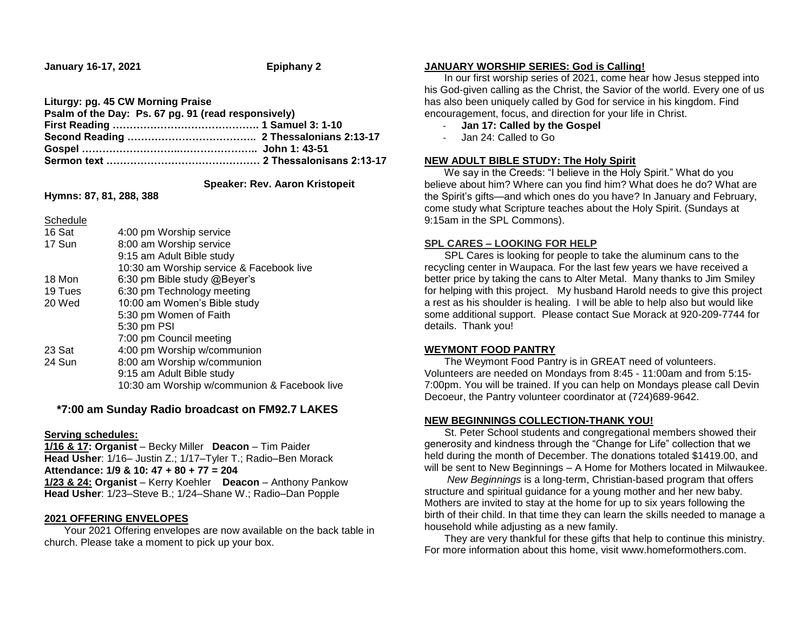**January 16-17, 2021 Epiphany 2**

| Liturgy: pg. 45 CW Morning Praise                   |  |
|-----------------------------------------------------|--|
| Psalm of the Day: Ps. 67 pg. 91 (read responsively) |  |
|                                                     |  |
|                                                     |  |
|                                                     |  |
|                                                     |  |
|                                                     |  |

 **Speaker: Rev. Aaron Kristopeit**

**Hymns: 87, 81, 288, 388**

**Schedule** 

| 16 Sat  | 4:00 pm Worship service                      |
|---------|----------------------------------------------|
| 17 Sun  | 8:00 am Worship service                      |
|         | 9:15 am Adult Bible study                    |
|         | 10:30 am Worship service & Facebook live     |
| 18 Mon  | 6:30 pm Bible study @Beyer's                 |
| 19 Tues | 6:30 pm Technology meeting                   |
| 20 Wed  | 10:00 am Women's Bible study                 |
|         | 5:30 pm Women of Faith                       |
|         | 5:30 pm PSI                                  |
|         | 7:00 pm Council meeting                      |
| 23 Sat  | 4:00 pm Worship w/communion                  |
| 24 Sun  | 8:00 am Worship w/communion                  |
|         | 9:15 am Adult Bible study                    |
|         | 10:30 am Worship w/communion & Facebook live |
|         |                                              |

# **\*7:00 am Sunday Radio broadcast on FM92.7 LAKES**

### **Serving schedules:**

**1/16 & 17: Organist** – Becky Miller **Deacon** – Tim Paider **Head Usher**: 1/16– Justin Z.; 1/17–Tyler T.; Radio–Ben Morack **Attendance: 1/9 & 10: 47 + 80 + 77 = 204**

**1/23 & 24: Organist** – Kerry Koehler **Deacon** – Anthony Pankow **Head Usher**: 1/23–Steve B.; 1/24–Shane W.; Radio–Dan Popple

## **2021 OFFERING ENVELOPES**

 Your 2021 Offering envelopes are now available on the back table in church. Please take a moment to pick up your box.

### **JANUARY WORSHIP SERIES: God is Calling!**

 In our first worship series of 2021, come hear how Jesus stepped into his God-given calling as the Christ, the Savior of the world. Every one of us has also been uniquely called by God for service in his kingdom. Find encouragement, focus, and direction for your life in Christ.

- **Jan 17: Called by the Gospel**
- Jan 24: Called to Go

# **NEW ADULT BIBLE STUDY: The Holy Spirit**

We say in the Creeds: "I believe in the Holy Spirit." What do you believe about him? Where can you find him? What does he do? What are the Spirit's gifts—and which ones do you have? In January and February, come study what Scripture teaches about the Holy Spirit. (Sundays at 9:15am in the SPL Commons).

### **SPL CARES – LOOKING FOR HELP**

 SPL Cares is looking for people to take the aluminum cans to the recycling center in Waupaca. For the last few years we have received a better price by taking the cans to Alter Metal. Many thanks to Jim Smiley for helping with this project. My husband Harold needs to give this project a rest as his shoulder is healing. I will be able to help also but would like some additional support. Please contact Sue Morack at 920-209-7744 for details. Thank you!

## **WEYMONT FOOD PANTRY**

 The Weymont Food Pantry is in GREAT need of volunteers. Volunteers are needed on Mondays from 8:45 - 11:00am and from 5:15- 7:00pm. You will be trained. If you can help on Mondays please call Devin Decoeur, the Pantry volunteer coordinator at (724)689-9642.

# **NEW BEGINNINGS COLLECTION-THANK YOU!**

 St. Peter School students and congregational members showed their generosity and kindness through the "Change for Life" collection that we held during the month of December. The donations totaled \$1419.00, and will be sent to New Beginnings – A Home for Mothers located in Milwaukee.

 *New Beginnings* is a long-term, Christian-based program that offers structure and spiritual guidance for a young mother and her new baby. Mothers are invited to stay at the home for up to six years following the birth of their child. In that time they can learn the skills needed to manage a household while adjusting as a new family.

 They are very thankful for these gifts that help to continue this ministry. For more information about this home, visit www.homeformothers.com.